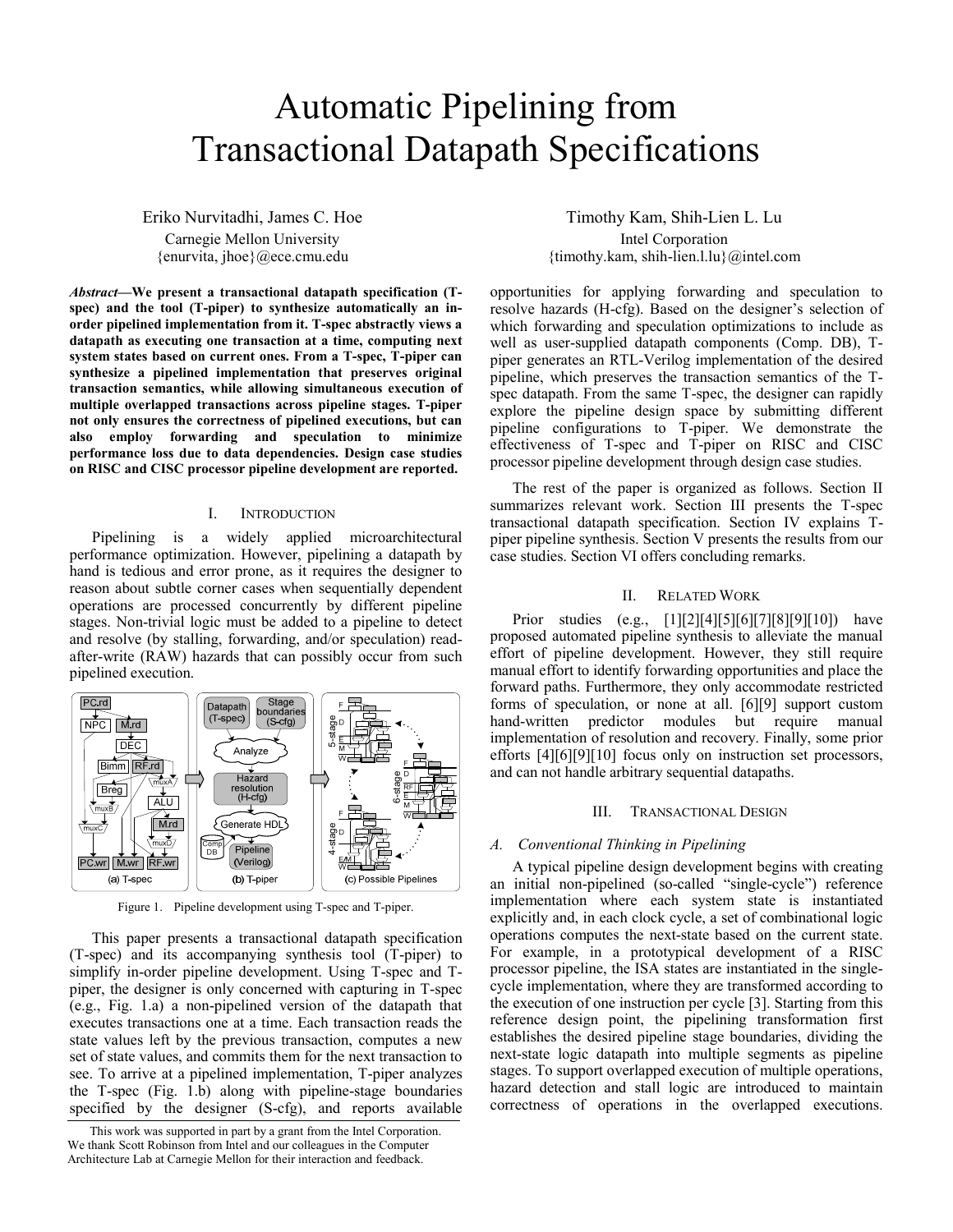# Automatic Pipelining from Transactional Datapath Specifications

Eriko Nurvitadhi, James C. Hoe Carnegie Mellon University {enurvita, jhoe}@ece.cmu.edu

*Abstract***—We present a transactional datapath specification (Tspec) and the tool (T-piper) to synthesize automatically an inorder pipelined implementation from it. T-spec abstractly views a datapath as executing one transaction at a time, computing next system states based on current ones. From a T-spec, T-piper can synthesize a pipelined implementation that preserves original transaction semantics, while allowing simultaneous execution of multiple overlapped transactions across pipeline stages. T-piper not only ensures the correctness of pipelined executions, but can also employ forwarding and speculation to minimize performance loss due to data dependencies. Design case studies on RISC and CISC processor pipeline development are reported.** 

#### I. INTRODUCTION

Pipelining is a widely applied microarchitectural performance optimization. However, pipelining a datapath by hand is tedious and error prone, as it requires the designer to reason about subtle corner cases when sequentially dependent operations are processed concurrently by different pipeline stages. Non-trivial logic must be added to a pipeline to detect and resolve (by stalling, forwarding, and/or speculation) readafter-write (RAW) hazards that can possibly occur from such pipelined execution.



Figure 1. Pipeline development using T-spec and T-piper.

This paper presents a transactional datapath specification (T-spec) and its accompanying synthesis tool (T-piper) to simplify in-order pipeline development. Using T-spec and Tpiper, the designer is only concerned with capturing in T-spec (e.g., Fig. 1.a) a non-pipelined version of the datapath that executes transactions one at a time. Each transaction reads the state values left by the previous transaction, computes a new set of state values, and commits them for the next transaction to see. To arrive at a pipelined implementation, T-piper analyzes the T-spec (Fig. 1.b) along with pipeline-stage boundaries specified by the designer (S-cfg), and reports available

Timothy Kam, Shih-Lien L. Lu Intel Corporation {timothy.kam, shih-lien.l.lu}@intel.com

opportunities for applying forwarding and speculation to resolve hazards (H-cfg). Based on the designer's selection of which forwarding and speculation optimizations to include as well as user-supplied datapath components (Comp. DB), Tpiper generates an RTL-Verilog implementation of the desired pipeline, which preserves the transaction semantics of the Tspec datapath. From the same T-spec, the designer can rapidly explore the pipeline design space by submitting different pipeline configurations to T-piper. We demonstrate the effectiveness of T-spec and T-piper on RISC and CISC processor pipeline development through design case studies.

The rest of the paper is organized as follows. Section II summarizes relevant work. Section III presents the T-spec transactional datapath specification. Section IV explains Tpiper pipeline synthesis. Section V presents the results from our case studies. Section VI offers concluding remarks.

# II. RELATED WORK

Prior studies (e.g., [1][2][4][5][6][7][8][9][10]) have proposed automated pipeline synthesis to alleviate the manual effort of pipeline development. However, they still require manual effort to identify forwarding opportunities and place the forward paths. Furthermore, they only accommodate restricted forms of speculation, or none at all. [6][9] support custom hand-written predictor modules but require manual implementation of resolution and recovery. Finally, some prior efforts [4][6][9][10] focus only on instruction set processors, and can not handle arbitrary sequential datapaths.

# III. TRANSACTIONAL DESIGN

#### *A. Conventional Thinking in Pipelining*

A typical pipeline design development begins with creating an initial non-pipelined (so-called "single-cycle") reference implementation where each system state is instantiated explicitly and, in each clock cycle, a set of combinational logic operations computes the next-state based on the current state. For example, in a prototypical development of a RISC processor pipeline, the ISA states are instantiated in the singlecycle implementation, where they are transformed according to the execution of one instruction per cycle [3]. Starting from this reference design point, the pipelining transformation first establishes the desired pipeline stage boundaries, dividing the next-state logic datapath into multiple segments as pipeline stages. To support overlapped execution of multiple operations, hazard detection and stall logic are introduced to maintain correctness of operations in the overlapped executions.

This work was supported in part by a grant from the Intel Corporation. We thank Scott Robinson from Intel and our colleagues in the Computer Architecture Lab at Carnegie Mellon for their interaction and feedback.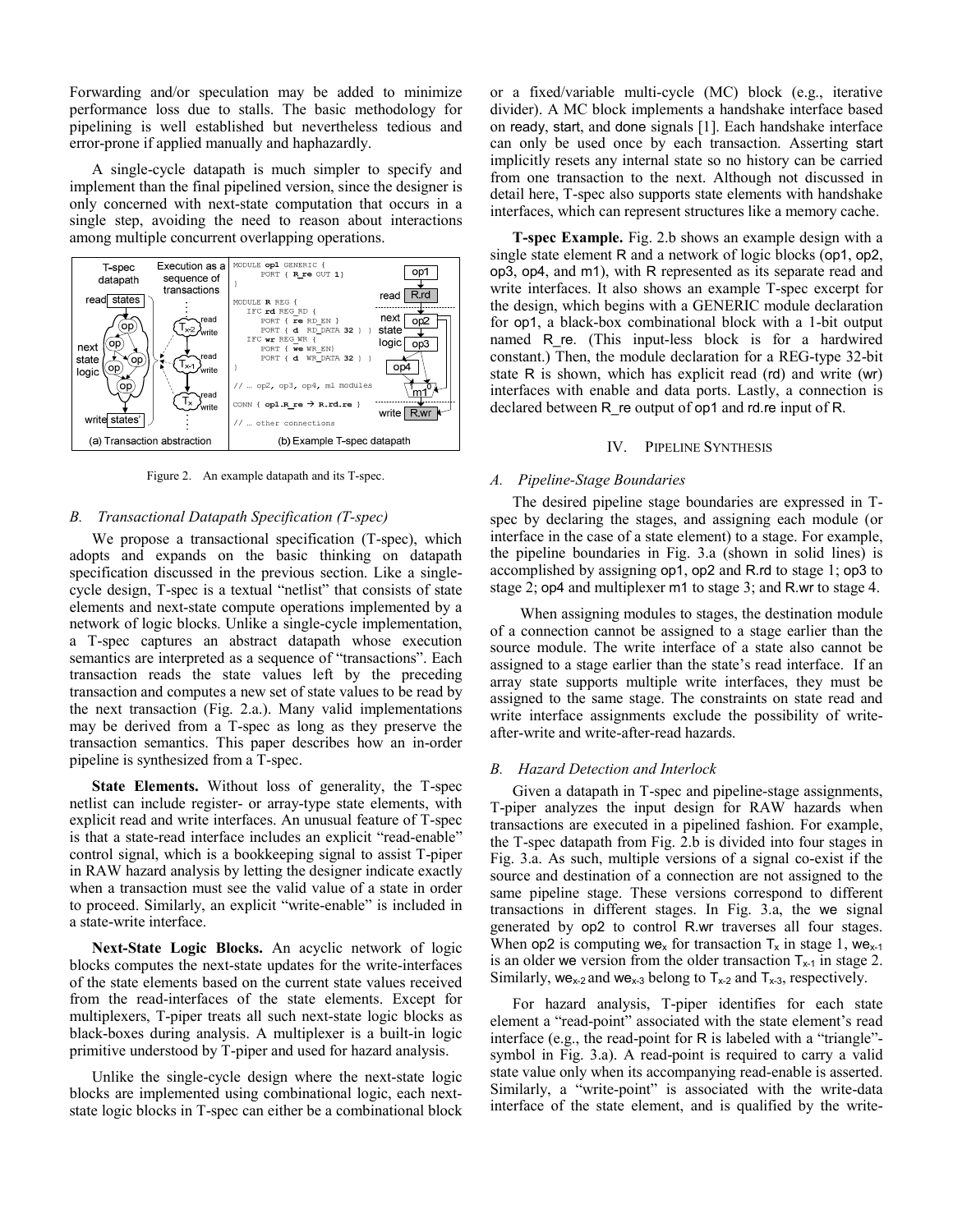Forwarding and/or speculation may be added to minimize performance loss due to stalls. The basic methodology for pipelining is well established but nevertheless tedious and error-prone if applied manually and haphazardly.

A single-cycle datapath is much simpler to specify and implement than the final pipelined version, since the designer is only concerned with next-state computation that occurs in a single step, avoiding the need to reason about interactions among multiple concurrent overlapping operations.



Figure 2. An example datapath and its T-spec.

# *B. Transactional Datapath Specification (T-spec)*

We propose a transactional specification (T-spec), which adopts and expands on the basic thinking on datapath specification discussed in the previous section. Like a singlecycle design, T-spec is a textual "netlist" that consists of state elements and next-state compute operations implemented by a network of logic blocks. Unlike a single-cycle implementation, a T-spec captures an abstract datapath whose execution semantics are interpreted as a sequence of "transactions". Each transaction reads the state values left by the preceding transaction and computes a new set of state values to be read by the next transaction (Fig. 2.a.). Many valid implementations may be derived from a T-spec as long as they preserve the transaction semantics. This paper describes how an in-order pipeline is synthesized from a T-spec.

**State Elements.** Without loss of generality, the T-spec netlist can include register- or array-type state elements, with explicit read and write interfaces. An unusual feature of T-spec is that a state-read interface includes an explicit "read-enable" control signal, which is a bookkeeping signal to assist T-piper in RAW hazard analysis by letting the designer indicate exactly when a transaction must see the valid value of a state in order to proceed. Similarly, an explicit "write-enable" is included in a state-write interface.

**Next-State Logic Blocks.** An acyclic network of logic blocks computes the next-state updates for the write-interfaces of the state elements based on the current state values received from the read-interfaces of the state elements. Except for multiplexers, T-piper treats all such next-state logic blocks as black-boxes during analysis. A multiplexer is a built-in logic primitive understood by T-piper and used for hazard analysis.

Unlike the single-cycle design where the next-state logic blocks are implemented using combinational logic, each nextstate logic blocks in T-spec can either be a combinational block or a fixed/variable multi-cycle (MC) block (e.g., iterative divider). A MC block implements a handshake interface based on ready, start, and done signals [1]. Each handshake interface can only be used once by each transaction. Asserting start implicitly resets any internal state so no history can be carried from one transaction to the next. Although not discussed in detail here, T-spec also supports state elements with handshake interfaces, which can represent structures like a memory cache.

**T-spec Example.** Fig. 2.b shows an example design with a single state element R and a network of logic blocks (op1, op2, op3, op4, and m1), with R represented as its separate read and write interfaces. It also shows an example T-spec excerpt for the design, which begins with a GENERIC module declaration for op1, a black-box combinational block with a 1-bit output named R re. (This input-less block is for a hardwired constant.) Then, the module declaration for a REG-type 32-bit state R is shown, which has explicit read (rd) and write (wr) interfaces with enable and data ports. Lastly, a connection is declared between R\_re output of op1 and rd.re input of R.

### IV. PIPELINE SYNTHESIS

### *A. Pipeline-Stage Boundaries*

The desired pipeline stage boundaries are expressed in Tspec by declaring the stages, and assigning each module (or interface in the case of a state element) to a stage. For example, the pipeline boundaries in Fig. 3.a (shown in solid lines) is accomplished by assigning op1, op2 and R.rd to stage 1; op3 to stage 2; op4 and multiplexer m1 to stage 3; and R.wr to stage 4.

 When assigning modules to stages, the destination module of a connection cannot be assigned to a stage earlier than the source module. The write interface of a state also cannot be assigned to a stage earlier than the state's read interface. If an array state supports multiple write interfaces, they must be assigned to the same stage. The constraints on state read and write interface assignments exclude the possibility of writeafter-write and write-after-read hazards.

### *B. Hazard Detection and Interlock*

Given a datapath in T-spec and pipeline-stage assignments, T-piper analyzes the input design for RAW hazards when transactions are executed in a pipelined fashion. For example, the T-spec datapath from Fig. 2.b is divided into four stages in Fig. 3.a. As such, multiple versions of a signal co-exist if the source and destination of a connection are not assigned to the same pipeline stage. These versions correspond to different transactions in different stages. In Fig. 3.a, the we signal generated by op2 to control R.wr traverses all four stages. When op2 is computing we<sub>x</sub> for transaction  $T_x$  in stage 1, we<sub>x-1</sub> is an older we version from the older transaction  $T_{x-1}$  in stage 2. Similarly, we<sub>x-2</sub> and we<sub>x-3</sub> belong to  $T_{x-2}$  and  $T_{x-3}$ , respectively.

For hazard analysis, T-piper identifies for each state element a "read-point" associated with the state element's read interface (e.g., the read-point for R is labeled with a "triangle" symbol in Fig. 3.a). A read-point is required to carry a valid state value only when its accompanying read-enable is asserted. Similarly, a "write-point" is associated with the write-data interface of the state element, and is qualified by the write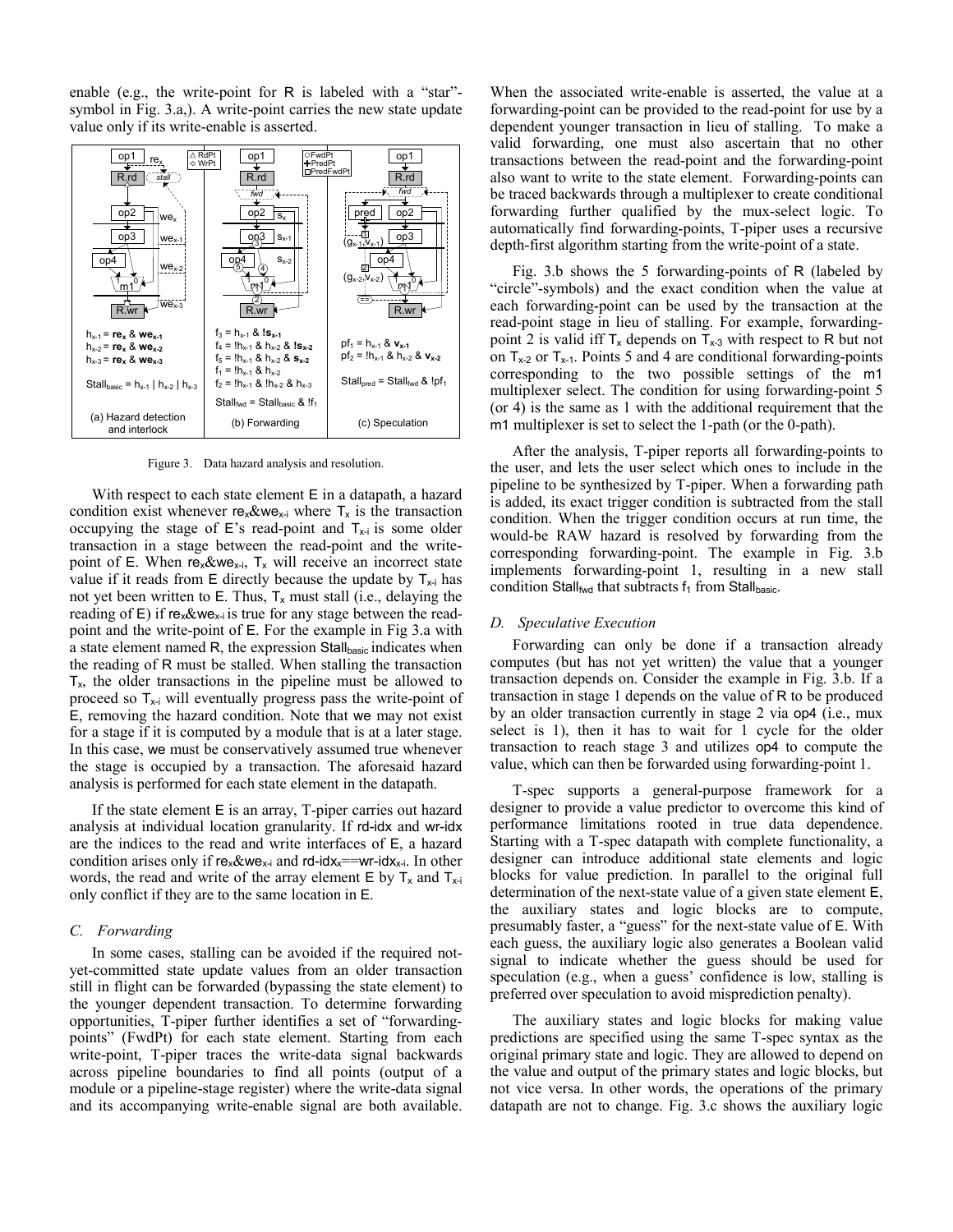enable (e.g., the write-point for R is labeled with a "star"symbol in Fig. 3.a,). A write-point carries the new state update value only if its write-enable is asserted.



Figure 3. Data hazard analysis and resolution.

With respect to each state element E in a datapath, a hazard condition exist whenever  $re_{x}$ &we<sub>x-i</sub> where  $T_{x}$  is the transaction occupying the stage of E's read-point and  $T_{x-i}$  is some older transaction in a stage between the read-point and the writepoint of E. When  $re_x \& we_{x-i}$ ,  $T_x$  will receive an incorrect state value if it reads from  $E$  directly because the update by  $T_{x-i}$  has not yet been written to E. Thus,  $T_x$  must stall (i.e., delaying the reading of  $E$ ) if re<sub>x</sub>&we<sub>x-i</sub> is true for any stage between the readpoint and the write-point of E. For the example in Fig 3.a with a state element named R, the expression Stallbasic indicates when the reading of R must be stalled. When stalling the transaction  $T<sub>x</sub>$ , the older transactions in the pipeline must be allowed to proceed so  $T_{x-i}$  will eventually progress pass the write-point of E, removing the hazard condition. Note that we may not exist for a stage if it is computed by a module that is at a later stage. In this case, we must be conservatively assumed true whenever the stage is occupied by a transaction. The aforesaid hazard analysis is performed for each state element in the datapath.

If the state element E is an array, T-piper carries out hazard analysis at individual location granularity. If rd-idx and wr-idx are the indices to the read and write interfaces of E, a hazard condition arises only if  $re_x \& we_{x-i}$  and rd-idx<sub>x</sub>==wr-idx<sub>x-i</sub>. In other words, the read and write of the array element  $E$  by  $T_x$  and  $T_{x-1}$ only conflict if they are to the same location in E.

### *C. Forwarding*

In some cases, stalling can be avoided if the required notyet-committed state update values from an older transaction still in flight can be forwarded (bypassing the state element) to the younger dependent transaction. To determine forwarding opportunities, T-piper further identifies a set of "forwardingpoints" (FwdPt) for each state element. Starting from each write-point, T-piper traces the write-data signal backwards across pipeline boundaries to find all points (output of a module or a pipeline-stage register) where the write-data signal and its accompanying write-enable signal are both available.

When the associated write-enable is asserted, the value at a forwarding-point can be provided to the read-point for use by a dependent younger transaction in lieu of stalling. To make a valid forwarding, one must also ascertain that no other transactions between the read-point and the forwarding-point also want to write to the state element. Forwarding-points can be traced backwards through a multiplexer to create conditional forwarding further qualified by the mux-select logic. To automatically find forwarding-points, T-piper uses a recursive depth-first algorithm starting from the write-point of a state.

Fig. 3.b shows the 5 forwarding-points of R (labeled by "circle"-symbols) and the exact condition when the value at each forwarding-point can be used by the transaction at the read-point stage in lieu of stalling. For example, forwardingpoint 2 is valid iff  $T_x$  depends on  $T_{x-3}$  with respect to R but not on  $T_{x-2}$  or  $T_{x-1}$ . Points 5 and 4 are conditional forwarding-points corresponding to the two possible settings of the m1 multiplexer select. The condition for using forwarding-point 5 (or 4) is the same as 1 with the additional requirement that the m1 multiplexer is set to select the 1-path (or the 0-path).

After the analysis, T-piper reports all forwarding-points to the user, and lets the user select which ones to include in the pipeline to be synthesized by T-piper. When a forwarding path is added, its exact trigger condition is subtracted from the stall condition. When the trigger condition occurs at run time, the would-be RAW hazard is resolved by forwarding from the corresponding forwarding-point. The example in Fig. 3.b implements forwarding-point 1, resulting in a new stall condition Stall<sub>fwd</sub> that subtracts  $f_1$  from Stallbasic.

#### *D. Speculative Execution*

Forwarding can only be done if a transaction already computes (but has not yet written) the value that a younger transaction depends on. Consider the example in Fig. 3.b. If a transaction in stage 1 depends on the value of R to be produced by an older transaction currently in stage 2 via op4 (i.e., mux select is 1), then it has to wait for 1 cycle for the older transaction to reach stage 3 and utilizes op4 to compute the value, which can then be forwarded using forwarding-point 1.

T-spec supports a general-purpose framework for a designer to provide a value predictor to overcome this kind of performance limitations rooted in true data dependence. Starting with a T-spec datapath with complete functionality, a designer can introduce additional state elements and logic blocks for value prediction. In parallel to the original full determination of the next-state value of a given state element E, the auxiliary states and logic blocks are to compute, presumably faster, a "guess" for the next-state value of E. With each guess, the auxiliary logic also generates a Boolean valid signal to indicate whether the guess should be used for speculation (e.g., when a guess' confidence is low, stalling is preferred over speculation to avoid misprediction penalty).

The auxiliary states and logic blocks for making value predictions are specified using the same T-spec syntax as the original primary state and logic. They are allowed to depend on the value and output of the primary states and logic blocks, but not vice versa. In other words, the operations of the primary datapath are not to change. Fig. 3.c shows the auxiliary logic